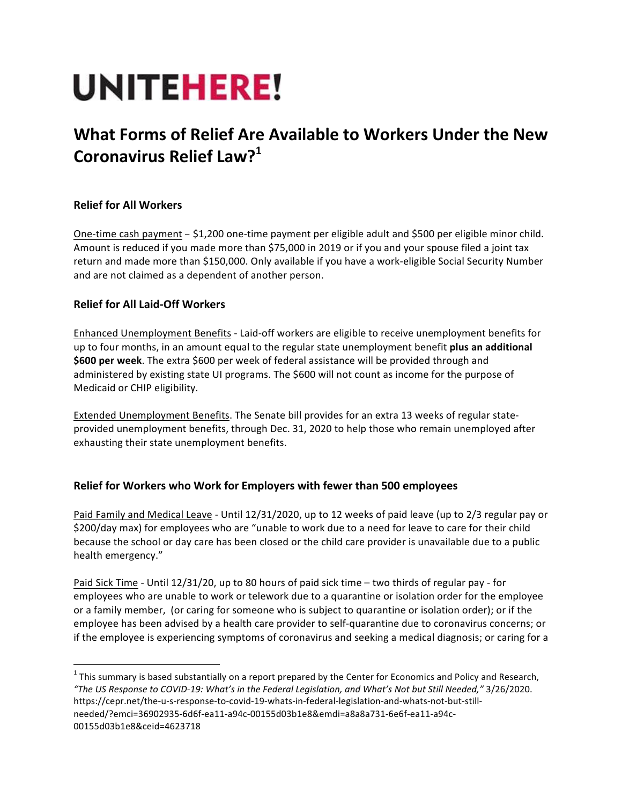# **UNITEHERE!**

# **What Forms of Relief Are Available to Workers Under the New Coronavirus Relief Law?<sup>1</sup>**

# **Relief for All Workers**

One-time cash payment - \$1,200 one-time payment per eligible adult and \$500 per eligible minor child. Amount is reduced if you made more than \$75,000 in 2019 or if you and your spouse filed a joint tax return and made more than \$150,000. Only available if you have a work-eligible Social Security Number and are not claimed as a dependent of another person.

## **Relief for All Laid-Off Workers**

Enhanced Unemployment Benefits - Laid-off workers are eligible to receive unemployment benefits for up to four months, in an amount equal to the regular state unemployment benefit plus an additional **\$600 per week**. The extra \$600 per week of federal assistance will be provided through and administered by existing state UI programs. The \$600 will not count as income for the purpose of Medicaid or CHIP eligibility.

Extended Unemployment Benefits. The Senate bill provides for an extra 13 weeks of regular stateprovided unemployment benefits, through Dec. 31, 2020 to help those who remain unemployed after exhausting their state unemployment benefits.

## **Relief for Workers who Work for Employers with fewer than 500 employees**

Paid Family and Medical Leave - Until 12/31/2020, up to 12 weeks of paid leave (up to 2/3 regular pay or \$200/day max) for employees who are "unable to work due to a need for leave to care for their child because the school or day care has been closed or the child care provider is unavailable due to a public health emergency."

Paid Sick Time - Until 12/31/20, up to 80 hours of paid sick time - two thirds of regular pay - for employees who are unable to work or telework due to a quarantine or isolation order for the employee or a family member, (or caring for someone who is subject to quarantine or isolation order); or if the employee has been advised by a health care provider to self-quarantine due to coronavirus concerns; or if the employee is experiencing symptoms of coronavirus and seeking a medical diagnosis; or caring for a

 $1$  This summary is based substantially on a report prepared by the Center for Economics and Policy and Research, *"The US Response to COVID-19: What's in the Federal Legislation, and What's Not but Still Needed,"* 3/26/2020. https://cepr.net/the-u-s-response-to-covid-19-whats-in-federal-legislation-and-whats-not-but-stillneeded/?emci=36902935-6d6f-ea11-a94c-00155d03b1e8&emdi=a8a8a731-6e6f-ea11-a94c-00155d03b1e8&ceid=4623718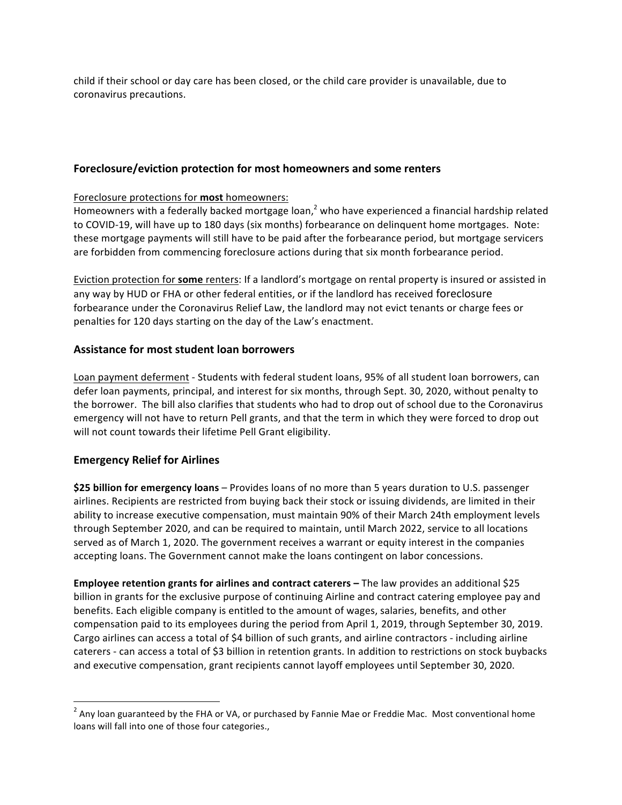child if their school or day care has been closed, or the child care provider is unavailable, due to coronavirus precautions.

#### **Foreclosure/eviction protection for most homeowners and some renters**

#### Foreclosure protections for **most** homeowners:

Homeowners with a federally backed mortgage loan,<sup>2</sup> who have experienced a financial hardship related to COVID-19, will have up to 180 days (six months) forbearance on delinguent home mortgages. Note: these mortgage payments will still have to be paid after the forbearance period, but mortgage servicers are forbidden from commencing foreclosure actions during that six month forbearance period.

Eviction protection for some renters: If a landlord's mortgage on rental property is insured or assisted in any way by HUD or FHA or other federal entities, or if the landlord has received foreclosure forbearance under the Coronavirus Relief Law, the landlord may not evict tenants or charge fees or penalties for 120 days starting on the day of the Law's enactment.

#### **Assistance for most student loan borrowers**

Loan payment deferment - Students with federal student loans, 95% of all student loan borrowers, can defer loan payments, principal, and interest for six months, through Sept. 30, 2020, without penalty to the borrower. The bill also clarifies that students who had to drop out of school due to the Coronavirus emergency will not have to return Pell grants, and that the term in which they were forced to drop out will not count towards their lifetime Pell Grant eligibility.

#### **Emergency Relief for Airlines**

**\$25 billion for emergency loans** – Provides loans of no more than 5 years duration to U.S. passenger airlines. Recipients are restricted from buying back their stock or issuing dividends, are limited in their ability to increase executive compensation, must maintain 90% of their March 24th employment levels through September 2020, and can be required to maintain, until March 2022, service to all locations served as of March 1, 2020. The government receives a warrant or equity interest in the companies accepting loans. The Government cannot make the loans contingent on labor concessions.

**Employee retention grants for airlines and contract caterers –** The law provides an additional \$25 billion in grants for the exclusive purpose of continuing Airline and contract catering employee pay and benefits. Each eligible company is entitled to the amount of wages, salaries, benefits, and other compensation paid to its employees during the period from April 1, 2019, through September 30, 2019. Cargo airlines can access a total of \$4 billion of such grants, and airline contractors - including airline caterers - can access a total of \$3 billion in retention grants. In addition to restrictions on stock buybacks and executive compensation, grant recipients cannot layoff employees until September 30, 2020.

 $2$  Any loan guaranteed by the FHA or VA, or purchased by Fannie Mae or Freddie Mac. Most conventional home loans will fall into one of those four categories.,